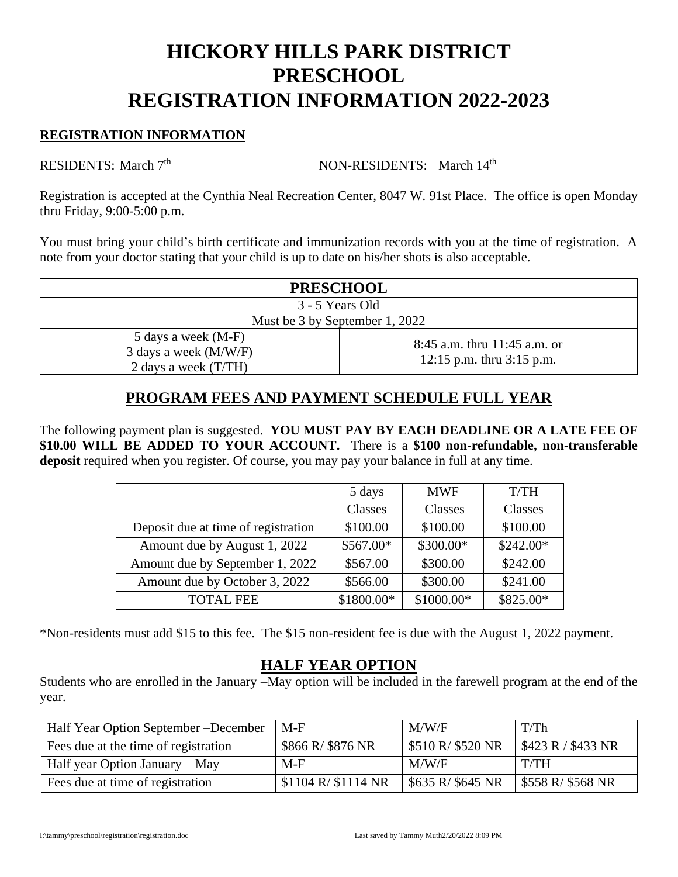# **HICKORY HILLS PARK DISTRICT PRESCHOOL REGISTRATION INFORMATION 2022-2023**

#### **REGISTRATION INFORMATION**

RESIDENTS: March 7

NON-RESIDENTS: March 14th

Registration is accepted at the Cynthia Neal Recreation Center, 8047 W. 91st Place. The office is open Monday thru Friday, 9:00-5:00 p.m.

You must bring your child's birth certificate and immunization records with you at the time of registration. A note from your doctor stating that your child is up to date on his/her shots is also acceptable.

| <b>PRESCHOOL</b>                                                       |                                                             |  |  |
|------------------------------------------------------------------------|-------------------------------------------------------------|--|--|
| 3 - 5 Years Old                                                        |                                                             |  |  |
| Must be 3 by September 1, 2022                                         |                                                             |  |  |
| 5 days a week (M-F)<br>3 days a week (M/W/F)<br>2 days a week $(T/TH)$ | 8:45 a.m. thru 11:45 a.m. or<br>12:15 p.m. thru $3:15$ p.m. |  |  |

## **PROGRAM FEES AND PAYMENT SCHEDULE FULL YEAR**

The following payment plan is suggested. **YOU MUST PAY BY EACH DEADLINE OR A LATE FEE OF \$10.00 WILL BE ADDED TO YOUR ACCOUNT.** There is a **\$100 non-refundable, non-transferable deposit** required when you register. Of course, you may pay your balance in full at any time.

|                                     | 5 days     | <b>MWF</b> | T/TH       |
|-------------------------------------|------------|------------|------------|
|                                     | Classes    | Classes    | Classes    |
| Deposit due at time of registration | \$100.00   | \$100.00   | \$100.00   |
| Amount due by August 1, 2022        | \$567.00*  | \$300.00*  | $$242.00*$ |
| Amount due by September 1, 2022     | \$567.00   | \$300.00   | \$242.00   |
| Amount due by October 3, 2022       | \$566.00   | \$300.00   | \$241.00   |
| <b>TOTAL FEE</b>                    | \$1800.00* | \$1000.00* | \$825.00*  |

\*Non-residents must add \$15 to this fee. The \$15 non-resident fee is due with the August 1, 2022 payment.

#### **HALF YEAR OPTION**

Students who are enrolled in the January –May option will be included in the farewell program at the end of the year.

| Half Year Option September – December | M-F                  | M/W/F                           | T/Th                             |
|---------------------------------------|----------------------|---------------------------------|----------------------------------|
| Fees due at the time of registration  | \$866 R/\$876 NR     | $\frac{1}{2}$ \$510 R/ \$520 NR | $\frac{1}{2}$ \$423 R / \$433 NR |
| Half year Option January – May        | $M-F$                | M/W/F                           | T/TH                             |
| Fees due at time of registration      | $$1104 R$ $$1114 NR$ | $\frac{1}{2}$ \$635 R/ \$645 NR | $\frac{1}{2}$ \$558 R/ \$568 NR  |